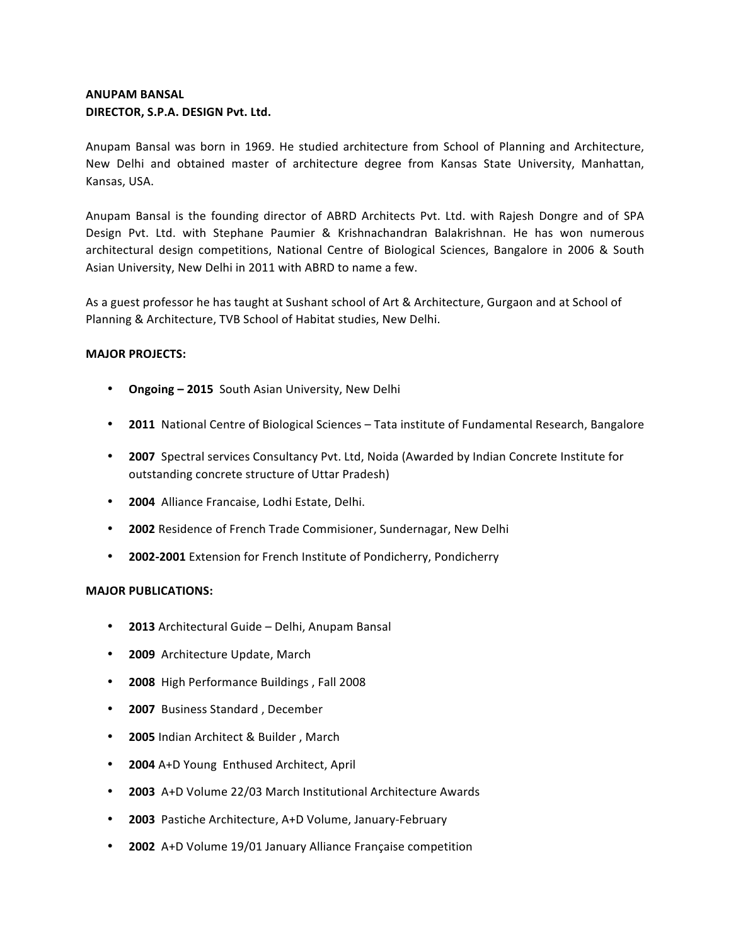## **ANUPAM BANSAL** DIRECTOR, S.P.A. DESIGN Pvt. Ltd.

Anupam Bansal was born in 1969. He studied architecture from School of Planning and Architecture, New Delhi and obtained master of architecture degree from Kansas State University, Manhattan, Kansas, USA.

Anupam Bansal is the founding director of ABRD Architects Pvt. Ltd. with Rajesh Dongre and of SPA Design Pvt. Ltd. with Stephane Paumier & Krishnachandran Balakrishnan. He has won numerous architectural design competitions, National Centre of Biological Sciences, Bangalore in 2006 & South Asian University, New Delhi in 2011 with ABRD to name a few.

As a guest professor he has taught at Sushant school of Art & Architecture, Gurgaon and at School of Planning & Architecture, TVB School of Habitat studies, New Delhi.

## **MAJOR PROJECTS:**

- Ongoing 2015 South Asian University, New Delhi
- **2011** National Centre of Biological Sciences Tata institute of Fundamental Research, Bangalore
- **2007** Spectral services Consultancy Pvt. Ltd, Noida (Awarded by Indian Concrete Institute for outstanding concrete structure of Uttar Pradesh)
- **2004** Alliance Francaise, Lodhi Estate, Delhi.
- **2002** Residence of French Trade Commisioner, Sundernagar, New Delhi
- 2002-2001 Extension for French Institute of Pondicherry, Pondicherry

## **MAJOR PUBLICATIONS:**

- **2013** Architectural Guide Delhi, Anupam Bansal
- **2009** Architecture Update, March
- **2008** High Performance Buildings , Fall 2008
- **2007** Business Standard , December
- **2005** Indian Architect & Builder, March
- **2004** A+D Young Enthused Architect, April
- **2003** A+D Volume 22/03 March Institutional Architecture Awards
- **2003** Pastiche Architecture, A+D Volume, January-February
- **2002** A+D Volume 19/01 January Alliance Française competition